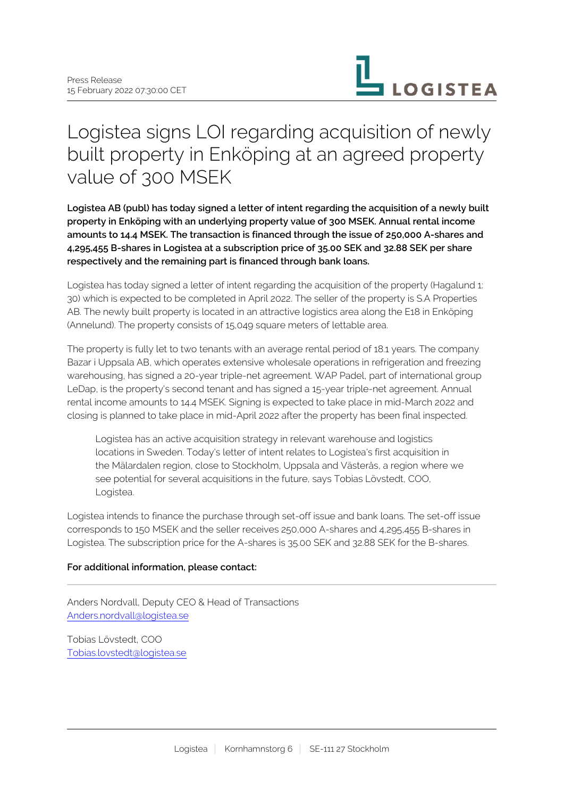

# Logistea signs LOI regarding acquisition of newly built property in Enköping at an agreed property value of 300 MSEK

**Logistea AB (publ) has today signed a letter of intent regarding the acquisition of a newly built property in Enköping with an underlying property value of 300 MSEK. Annual rental income amounts to 14.4 MSEK. The transaction is financed through the issue of 250,000 A-shares and 4,295,455 B-shares in Logistea at a subscription price of 35.00 SEK and 32.88 SEK per share respectively and the remaining part is financed through bank loans.**

Logistea has today signed a letter of intent regarding the acquisition of the property (Hagalund 1: 30) which is expected to be completed in April 2022. The seller of the property is S.A Properties AB. The newly built property is located in an attractive logistics area along the E18 in Enköping (Annelund). The property consists of 15,049 square meters of lettable area.

The property is fully let to two tenants with an average rental period of 18.1 years. The company Bazar i Uppsala AB, which operates extensive wholesale operations in refrigeration and freezing warehousing, has signed a 20-year triple-net agreement. WAP Padel, part of international group LeDap, is the property's second tenant and has signed a 15-year triple-net agreement. Annual rental income amounts to 14.4 MSEK. Signing is expected to take place in mid-March 2022 and closing is planned to take place in mid-April 2022 after the property has been final inspected.

Logistea has an active acquisition strategy in relevant warehouse and logistics locations in Sweden. Today's letter of intent relates to Logistea's first acquisition in the Mälardalen region, close to Stockholm, Uppsala and Västerås, a region where we see potential for several acquisitions in the future, says Tobias Lövstedt, COO, Logistea.

Logistea intends to finance the purchase through set-off issue and bank loans. The set-off issue corresponds to 150 MSEK and the seller receives 250,000 A-shares and 4,295,455 B-shares in Logistea. The subscription price for the A-shares is 35.00 SEK and 32.88 SEK for the B-shares.

# **For additional information, please contact:**

Anders Nordvall, Deputy CEO & Head of Transactions [Anders.nordvall@logistea.se](mailto:Anders.nordvall@logistea.se)

Tobias Lövstedt, COO [Tobias.lovstedt@logistea.se](mailto:Tobias.lovstedt@logistea.se)